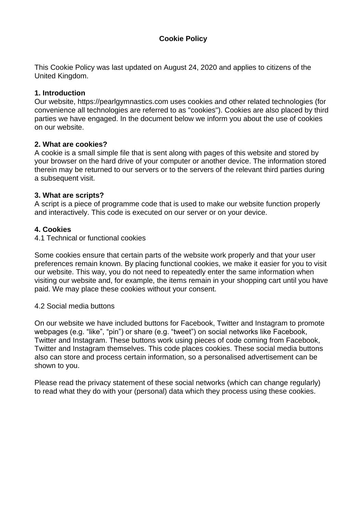# **Cookie Policy**

This Cookie Policy was last updated on August 24, 2020 and applies to citizens of the United Kingdom.

#### **1. Introduction**

Our website, https://pearlgymnastics.com uses cookies and other related technologies (for convenience all technologies are referred to as "cookies"). Cookies are also placed by third parties we have engaged. In the document below we inform you about the use of cookies on our website.

#### **2. What are cookies?**

A cookie is a small simple file that is sent along with pages of this website and stored by your browser on the hard drive of your computer or another device. The information stored therein may be returned to our servers or to the servers of the relevant third parties during a subsequent visit.

#### **3. What are scripts?**

A script is a piece of programme code that is used to make our website function properly and interactively. This code is executed on our server or on your device.

### **4. Cookies**

#### 4.1 Technical or functional cookies

Some cookies ensure that certain parts of the website work properly and that your user preferences remain known. By placing functional cookies, we make it easier for you to visit our website. This way, you do not need to repeatedly enter the same information when visiting our website and, for example, the items remain in your shopping cart until you have paid. We may place these cookies without your consent.

#### 4.2 Social media buttons

On our website we have included buttons for Facebook, Twitter and Instagram to promote webpages (e.g. "like", "pin") or share (e.g. "tweet") on social networks like Facebook, Twitter and Instagram. These buttons work using pieces of code coming from Facebook, Twitter and Instagram themselves. This code places cookies. These social media buttons also can store and process certain information, so a personalised advertisement can be shown to you.

Please read the privacy statement of these social networks (which can change regularly) to read what they do with your (personal) data which they process using these cookies.